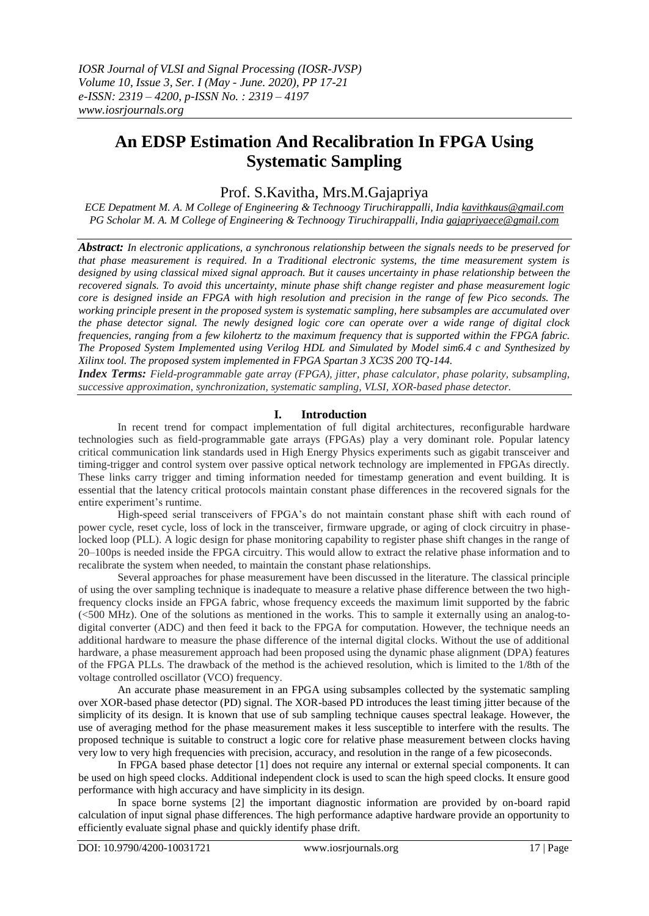# **An EDSP Estimation And Recalibration In FPGA Using Systematic Sampling**

## Prof. S.Kavitha, Mrs.M.Gajapriya

*ECE Depatment M. A. M College of Engineering & Technoogy Tiruchirappalli, India [kavithkaus@gmail.com](mailto:kavithkaus@gmail.com) PG Scholar M. A. M College of Engineering & Technoogy Tiruchirappalli, India [gajapriyaece@gmail.com](mailto:gajapriyaece@gmail.com)*

*Abstract: In electronic applications, a synchronous relationship between the signals needs to be preserved for that phase measurement is required. In a Traditional electronic systems, the time measurement system is designed by using classical mixed signal approach. But it causes uncertainty in phase relationship between the recovered signals. To avoid this uncertainty, minute phase shift change register and phase measurement logic core is designed inside an FPGA with high resolution and precision in the range of few Pico seconds. The working principle present in the proposed system is systematic sampling, here subsamples are accumulated over the phase detector signal. The newly designed logic core can operate over a wide range of digital clock frequencies, ranging from a few kilohertz to the maximum frequency that is supported within the FPGA fabric. The Proposed System Implemented using Verilog HDL and Simulated by Model sim6.4 c and Synthesized by Xilinx tool. The proposed system implemented in FPGA Spartan 3 XC3S 200 TQ-144.*

*Index Terms: Field-programmable gate array (FPGA), jitter, phase calculator, phase polarity, subsampling, successive approximation, synchronization, systematic sampling, VLSI, XOR-based phase detector.*

#### **I. Introduction**

In recent trend for compact implementation of full digital architectures, reconfigurable hardware technologies such as field-programmable gate arrays (FPGAs) play a very dominant role. Popular latency critical communication link standards used in High Energy Physics experiments such as gigabit transceiver and timing-trigger and control system over passive optical network technology are implemented in FPGAs directly. These links carry trigger and timing information needed for timestamp generation and event building. It is essential that the latency critical protocols maintain constant phase differences in the recovered signals for the entire experiment's runtime.

High-speed serial transceivers of FPGA's do not maintain constant phase shift with each round of power cycle, reset cycle, loss of lock in the transceiver, firmware upgrade, or aging of clock circuitry in phaselocked loop (PLL). A logic design for phase monitoring capability to register phase shift changes in the range of 20–100ps is needed inside the FPGA circuitry. This would allow to extract the relative phase information and to recalibrate the system when needed, to maintain the constant phase relationships.

Several approaches for phase measurement have been discussed in the literature. The classical principle of using the over sampling technique is inadequate to measure a relative phase difference between the two highfrequency clocks inside an FPGA fabric, whose frequency exceeds the maximum limit supported by the fabric (<500 MHz). One of the solutions as mentioned in the works. This to sample it externally using an analog-todigital converter (ADC) and then feed it back to the FPGA for computation. However, the technique needs an additional hardware to measure the phase difference of the internal digital clocks. Without the use of additional hardware, a phase measurement approach had been proposed using the dynamic phase alignment (DPA) features of the FPGA PLLs. The drawback of the method is the achieved resolution, which is limited to the 1/8th of the voltage controlled oscillator (VCO) frequency.

An accurate phase measurement in an FPGA using subsamples collected by the systematic sampling over XOR-based phase detector (PD) signal. The XOR-based PD introduces the least timing jitter because of the simplicity of its design. It is known that use of sub sampling technique causes spectral leakage. However, the use of averaging method for the phase measurement makes it less susceptible to interfere with the results. The proposed technique is suitable to construct a logic core for relative phase measurement between clocks having very low to very high frequencies with precision, accuracy, and resolution in the range of a few picoseconds.

In FPGA based phase detector [1] does not require any internal or external special components. It can be used on high speed clocks. Additional independent clock is used to scan the high speed clocks. It ensure good performance with high accuracy and have simplicity in its design.

In space borne systems [2] the important diagnostic information are provided by on-board rapid calculation of input signal phase differences. The high performance adaptive hardware provide an opportunity to efficiently evaluate signal phase and quickly identify phase drift.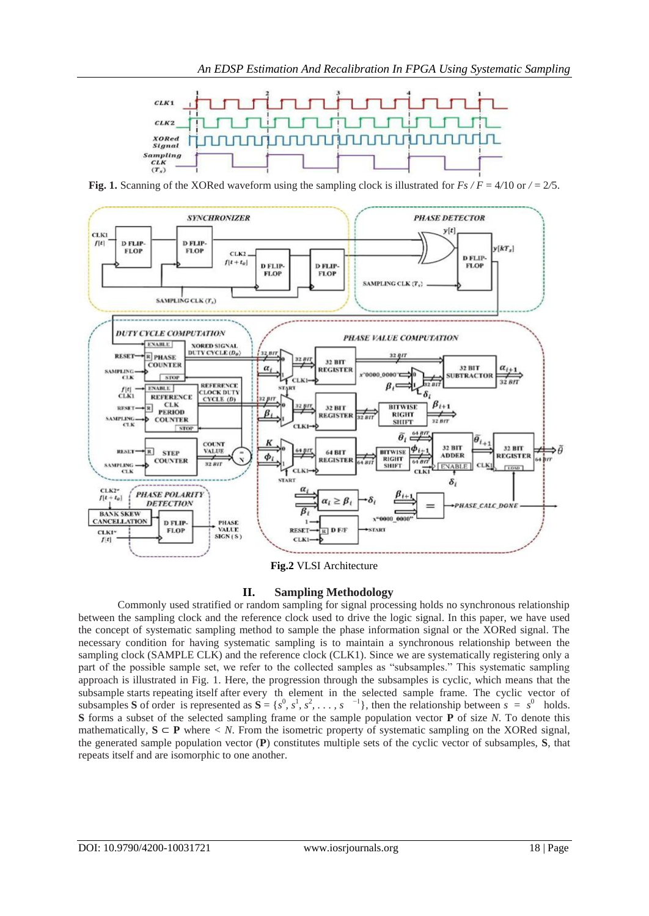

**Fig. 1.** Scanning of the XORed waveform using the sampling clock is illustrated for  $Fs$  /  $F = 4/10$  or  $/ = 2/5$ .



**Fig.2** VLSI Architecture

### **II. Sampling Methodology**

Commonly used stratified or random sampling for signal processing holds no synchronous relationship between the sampling clock and the reference clock used to drive the logic signal. In this paper, we have used the concept of systematic sampling method to sample the phase information signal or the XORed signal. The necessary condition for having systematic sampling is to maintain a synchronous relationship between the sampling clock (SAMPLE CLK) and the reference clock (CLK1). Since we are systematically registering only a part of the possible sample set, we refer to the collected samples as "subsamples." This systematic sampling approach is illustrated in Fig. 1. Here, the progression through the subsamples is cyclic, which means that the subsample starts repeating itself after every th element in the selected sample frame. The cyclic vector of subsamples **S** of order is represented as  $S = \{s^0, s^1, s^2, \ldots, s^{-1}\}\$ , then the relationship between  $s = s^0$  holds. **S** forms a subset of the selected sampling frame or the sample population vector **P** of size *N*. To denote this mathematically,  $S \subseteq P$  where  $\lt N$ . From the isometric property of systematic sampling on the XORed signal, the generated sample population vector (**P**) constitutes multiple sets of the cyclic vector of subsamples, **S**, that repeats itself and are isomorphic to one another.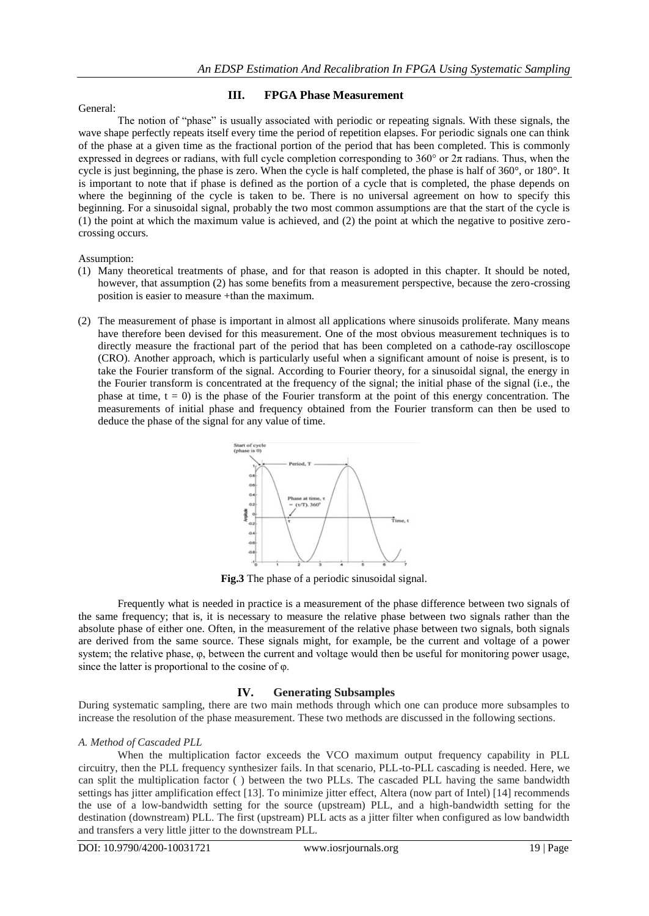#### General:

#### **III. FPGA Phase Measurement**

The notion of "phase" is usually associated with periodic or repeating signals. With these signals, the wave shape perfectly repeats itself every time the period of repetition elapses. For periodic signals one can think of the phase at a given time as the fractional portion of the period that has been completed. This is commonly expressed in degrees or radians, with full cycle completion corresponding to  $360^{\circ}$  or  $2\pi$  radians. Thus, when the cycle is just beginning, the phase is zero. When the cycle is half completed, the phase is half of 360°, or 180°. It is important to note that if phase is defined as the portion of a cycle that is completed, the phase depends on where the beginning of the cycle is taken to be. There is no universal agreement on how to specify this beginning. For a sinusoidal signal, probably the two most common assumptions are that the start of the cycle is (1) the point at which the maximum value is achieved, and (2) the point at which the negative to positive zerocrossing occurs.

Assumption:

- (1) Many theoretical treatments of phase, and for that reason is adopted in this chapter. It should be noted, however, that assumption (2) has some benefits from a measurement perspective, because the zero-crossing position is easier to measure +than the maximum.
- (2) The measurement of phase is important in almost all applications where sinusoids proliferate. Many means have therefore been devised for this measurement. One of the most obvious measurement techniques is to directly measure the fractional part of the period that has been completed on a cathode-ray oscilloscope (CRO). Another approach, which is particularly useful when a significant amount of noise is present, is to take the Fourier transform of the signal. According to Fourier theory, for a sinusoidal signal, the energy in the Fourier transform is concentrated at the frequency of the signal; the initial phase of the signal (i.e., the phase at time,  $t = 0$ ) is the phase of the Fourier transform at the point of this energy concentration. The measurements of initial phase and frequency obtained from the Fourier transform can then be used to deduce the phase of the signal for any value of time.



**Fig.3** The phase of a periodic sinusoidal signal.

Frequently what is needed in practice is a measurement of the phase difference between two signals of the same frequency; that is, it is necessary to measure the relative phase between two signals rather than the absolute phase of either one. Often, in the measurement of the relative phase between two signals, both signals are derived from the same source. These signals might, for example, be the current and voltage of a power system; the relative phase, φ, between the current and voltage would then be useful for monitoring power usage, since the latter is proportional to the cosine of φ.

### **IV. Generating Subsamples**

During systematic sampling, there are two main methods through which one can produce more subsamples to increase the resolution of the phase measurement. These two methods are discussed in the following sections.

### *A. Method of Cascaded PLL*

When the multiplication factor exceeds the VCO maximum output frequency capability in PLL circuitry, then the PLL frequency synthesizer fails. In that scenario, PLL-to-PLL cascading is needed. Here, we can split the multiplication factor ( ) between the two PLLs. The cascaded PLL having the same bandwidth settings has jitter amplification effect [13]. To minimize jitter effect, Altera (now part of Intel) [14] recommends the use of a low-bandwidth setting for the source (upstream) PLL, and a high-bandwidth setting for the destination (downstream) PLL. The first (upstream) PLL acts as a jitter filter when configured as low bandwidth and transfers a very little jitter to the downstream PLL.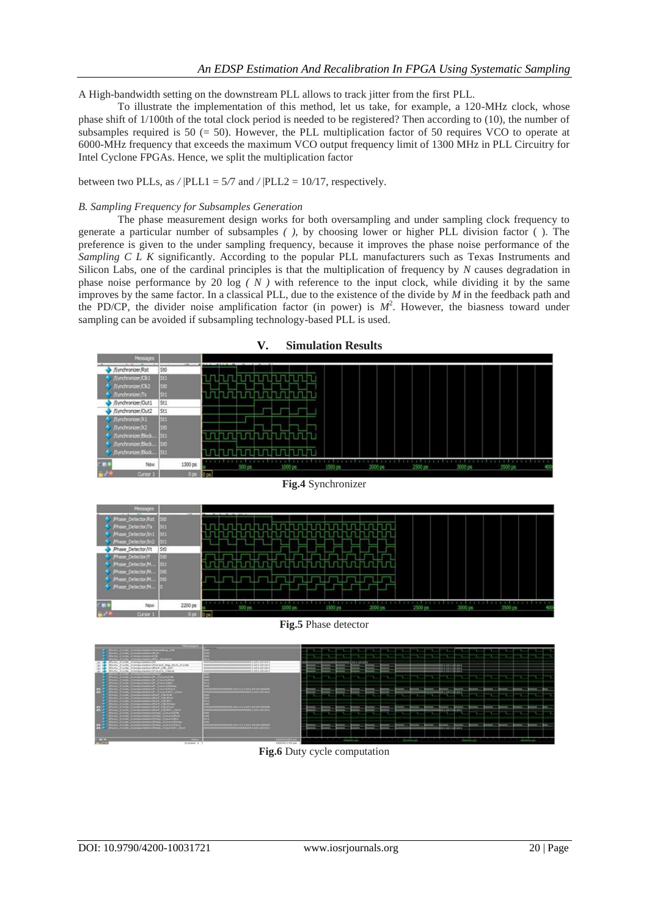A High-bandwidth setting on the downstream PLL allows to track jitter from the first PLL.

To illustrate the implementation of this method, let us take, for example, a 120-MHz clock, whose phase shift of 1/100th of the total clock period is needed to be registered? Then according to (10), the number of subsamples required is  $50 (= 50)$ . However, the PLL multiplication factor of 50 requires VCO to operate at 6000-MHz frequency that exceeds the maximum VCO output frequency limit of 1300 MHz in PLL Circuitry for Intel Cyclone FPGAs. Hence, we split the multiplication factor

between two PLLs, as */* |PLL1 = 5*/*7 and */* |PLL2 = 10*/*17, respectively.

#### *B. Sampling Frequency for Subsamples Generation*

The phase measurement design works for both oversampling and under sampling clock frequency to generate a particular number of subsamples *( )*, by choosing lower or higher PLL division factor ( ). The preference is given to the under sampling frequency, because it improves the phase noise performance of the *Sampling C L K* significantly. According to the popular PLL manufacturers such as Texas Instruments and Silicon Labs, one of the cardinal principles is that the multiplication of frequency by *N* causes degradation in phase noise performance by 20  $log (N)$  with reference to the input clock, while dividing it by the same improves by the same factor. In a classical PLL, due to the existence of the divide by *M* in the feedback path and the PD/CP, the divider noise amplification factor (in power) is  $M^2$ . However, the biasness toward under sampling can be avoided if subsampling technology-based PLL is used.





**Fig.5** Phase detector



**Fig.6** Duty cycle computation